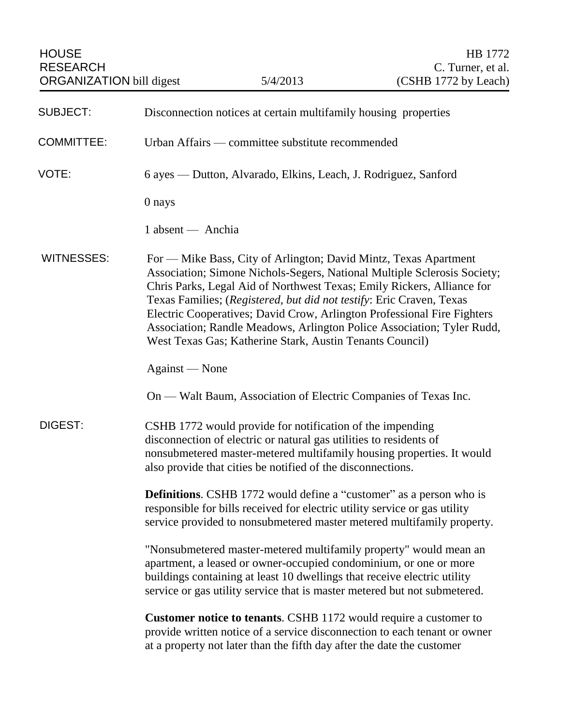| <b>SUBJECT:</b>   | Disconnection notices at certain multifamily housing properties                                                                                                                                                                                                                                                                                                                                                                                                                                                 |
|-------------------|-----------------------------------------------------------------------------------------------------------------------------------------------------------------------------------------------------------------------------------------------------------------------------------------------------------------------------------------------------------------------------------------------------------------------------------------------------------------------------------------------------------------|
| <b>COMMITTEE:</b> | Urban Affairs — committee substitute recommended                                                                                                                                                                                                                                                                                                                                                                                                                                                                |
| VOTE:             | 6 ayes — Dutton, Alvarado, Elkins, Leach, J. Rodriguez, Sanford                                                                                                                                                                                                                                                                                                                                                                                                                                                 |
|                   | 0 nays                                                                                                                                                                                                                                                                                                                                                                                                                                                                                                          |
|                   | 1 absent — Anchia                                                                                                                                                                                                                                                                                                                                                                                                                                                                                               |
| <b>WITNESSES:</b> | For — Mike Bass, City of Arlington; David Mintz, Texas Apartment<br>Association; Simone Nichols-Segers, National Multiple Sclerosis Society;<br>Chris Parks, Legal Aid of Northwest Texas; Emily Rickers, Alliance for<br>Texas Families; (Registered, but did not testify: Eric Craven, Texas<br>Electric Cooperatives; David Crow, Arlington Professional Fire Fighters<br>Association; Randle Meadows, Arlington Police Association; Tyler Rudd,<br>West Texas Gas; Katherine Stark, Austin Tenants Council) |
|                   | Against — None                                                                                                                                                                                                                                                                                                                                                                                                                                                                                                  |
|                   | On — Walt Baum, Association of Electric Companies of Texas Inc.                                                                                                                                                                                                                                                                                                                                                                                                                                                 |
| <b>DIGEST:</b>    | CSHB 1772 would provide for notification of the impending<br>disconnection of electric or natural gas utilities to residents of<br>nonsubmetered master-metered multifamily housing properties. It would<br>also provide that cities be notified of the disconnections.                                                                                                                                                                                                                                         |
|                   | <b>Definitions.</b> CSHB 1772 would define a "customer" as a person who is<br>responsible for bills received for electric utility service or gas utility<br>service provided to nonsubmetered master metered multifamily property.                                                                                                                                                                                                                                                                              |
|                   | "Nonsubmetered master-metered multifamily property" would mean an<br>apartment, a leased or owner-occupied condominium, or one or more<br>buildings containing at least 10 dwellings that receive electric utility<br>service or gas utility service that is master metered but not submetered.                                                                                                                                                                                                                 |
|                   | <b>Customer notice to tenants.</b> CSHB 1172 would require a customer to<br>provide written notice of a service disconnection to each tenant or owner<br>at a property not later than the fifth day after the date the customer                                                                                                                                                                                                                                                                                 |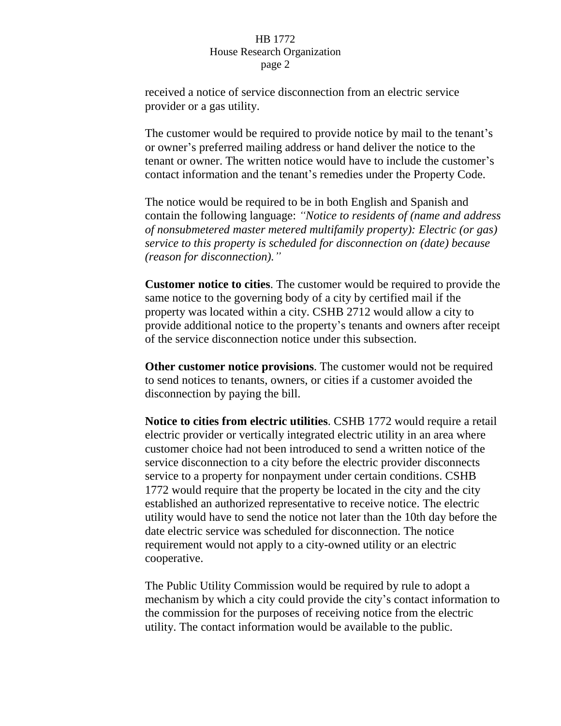## HB 1772 House Research Organization page 2

received a notice of service disconnection from an electric service provider or a gas utility.

The customer would be required to provide notice by mail to the tenant's or owner's preferred mailing address or hand deliver the notice to the tenant or owner. The written notice would have to include the customer's contact information and the tenant's remedies under the Property Code.

The notice would be required to be in both English and Spanish and contain the following language: *"Notice to residents of (name and address of nonsubmetered master metered multifamily property): Electric (or gas) service to this property is scheduled for disconnection on (date) because (reason for disconnection)."*

**Customer notice to cities**. The customer would be required to provide the same notice to the governing body of a city by certified mail if the property was located within a city. CSHB 2712 would allow a city to provide additional notice to the property's tenants and owners after receipt of the service disconnection notice under this subsection.

**Other customer notice provisions**. The customer would not be required to send notices to tenants, owners, or cities if a customer avoided the disconnection by paying the bill.

**Notice to cities from electric utilities**. CSHB 1772 would require a retail electric provider or vertically integrated electric utility in an area where customer choice had not been introduced to send a written notice of the service disconnection to a city before the electric provider disconnects service to a property for nonpayment under certain conditions. CSHB 1772 would require that the property be located in the city and the city established an authorized representative to receive notice. The electric utility would have to send the notice not later than the 10th day before the date electric service was scheduled for disconnection. The notice requirement would not apply to a city-owned utility or an electric cooperative.

The Public Utility Commission would be required by rule to adopt a mechanism by which a city could provide the city's contact information to the commission for the purposes of receiving notice from the electric utility. The contact information would be available to the public.